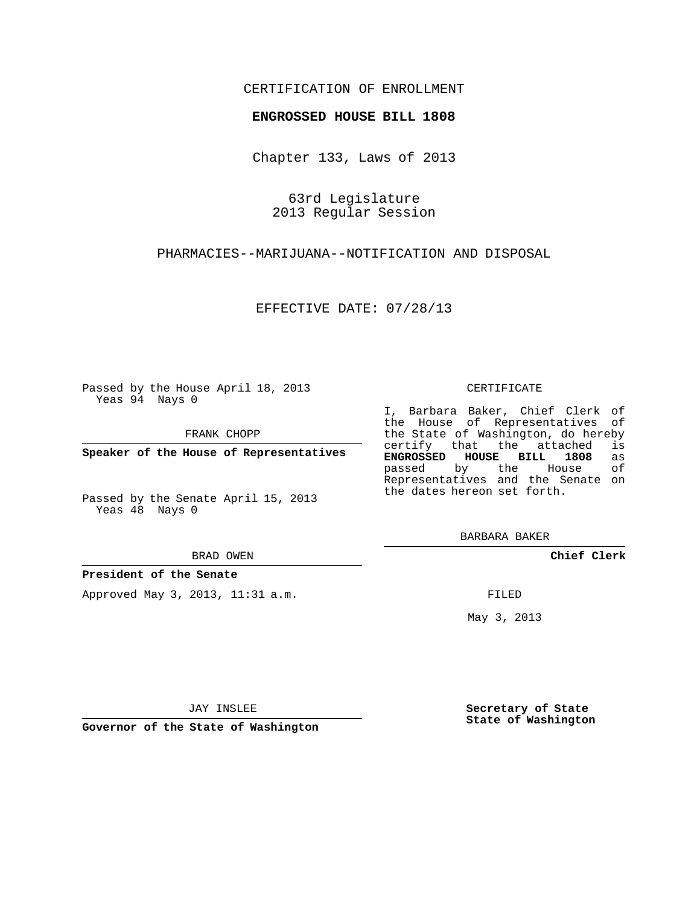## CERTIFICATION OF ENROLLMENT

#### **ENGROSSED HOUSE BILL 1808**

Chapter 133, Laws of 2013

63rd Legislature 2013 Regular Session

PHARMACIES--MARIJUANA--NOTIFICATION AND DISPOSAL

EFFECTIVE DATE: 07/28/13

Passed by the House April 18, 2013 Yeas 94 Nays 0

FRANK CHOPP

**Speaker of the House of Representatives**

Passed by the Senate April 15, 2013 Yeas 48 Nays 0

#### BRAD OWEN

#### **President of the Senate**

Approved May 3, 2013, 11:31 a.m.

#### CERTIFICATE

I, Barbara Baker, Chief Clerk of the House of Representatives of the State of Washington, do hereby<br>certify that the attached is certify that the attached **ENGROSSED HOUSE BILL 1808** as passed by the House Representatives and the Senate on the dates hereon set forth.

BARBARA BAKER

**Chief Clerk**

FILED

May 3, 2013

**Secretary of State State of Washington**

JAY INSLEE

**Governor of the State of Washington**